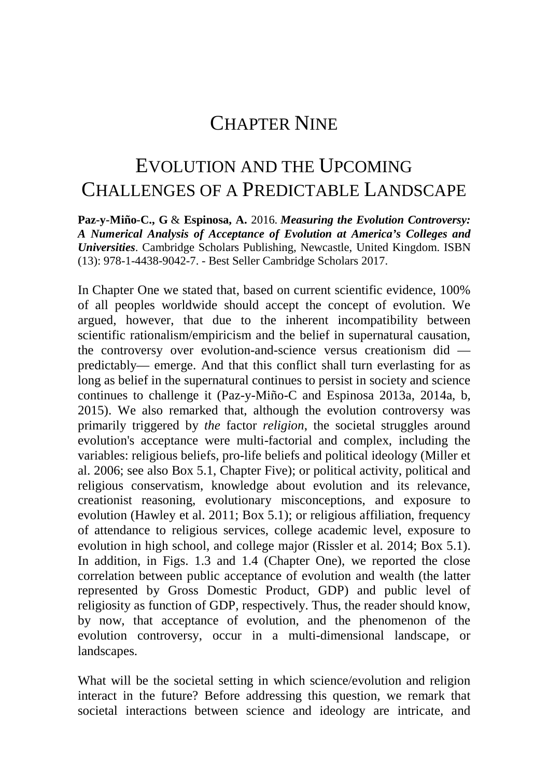# CHAPTER NINE

# EVOLUTION AND THE UPCOMING CHALLENGES OF A PREDICTABLE LANDSCAPE

**Paz-y-Miño-C., G** & **Espinosa, A.** 2016. *Measuring the Evolution Controversy: A Numerical Analysis of Acceptance of Evolution at America's Colleges and Universities*. Cambridge Scholars Publishing, Newcastle, United Kingdom. ISBN (13): 978-1-4438-9042-7. - Best Seller Cambridge Scholars 2017.

In Chapter One we stated that, based on current scientific evidence, 100% of all peoples worldwide should accept the concept of evolution. We argued, however, that due to the inherent incompatibility between scientific rationalism/empiricism and the belief in supernatural causation, the controversy over evolution-and-science versus creationism did predictably— emerge. And that this conflict shall turn everlasting for as long as belief in the supernatural continues to persist in society and science continues to challenge it (Paz-y-Miño-C and Espinosa 2013a, 2014a, b, 2015). We also remarked that, although the evolution controversy was primarily triggered by *the* factor *religion*, the societal struggles around evolution's acceptance were multi-factorial and complex, including the variables: religious beliefs, pro-life beliefs and political ideology (Miller et al. 2006; see also Box 5.1, Chapter Five); or political activity, political and religious conservatism, knowledge about evolution and its relevance, creationist reasoning, evolutionary misconceptions, and exposure to evolution (Hawley et al. 2011; Box 5.1); or religious affiliation, frequency of attendance to religious services, college academic level, exposure to evolution in high school, and college major (Rissler et al. 2014; Box 5.1). In addition, in Figs. 1.3 and 1.4 (Chapter One), we reported the close correlation between public acceptance of evolution and wealth (the latter represented by Gross Domestic Product, GDP) and public level of religiosity as function of GDP, respectively. Thus, the reader should know, by now, that acceptance of evolution, and the phenomenon of the evolution controversy, occur in a multi-dimensional landscape, or landscapes.

What will be the societal setting in which science/evolution and religion interact in the future? Before addressing this question, we remark that societal interactions between science and ideology are intricate, and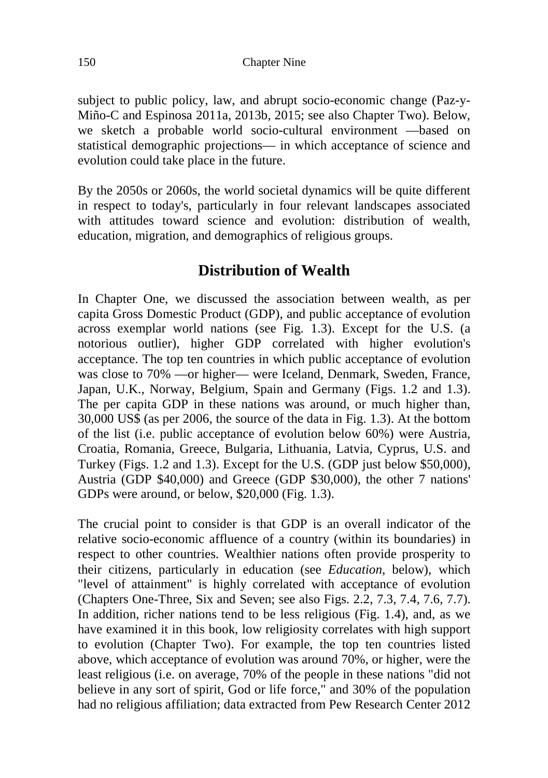150 Chapter Nine

subject to public policy, law, and abrupt socio-economic change (Paz-y-Miño-C and Espinosa 2011a, 2013b, 2015; see also Chapter Two). Below, we sketch a probable world socio-cultural environment —based on statistical demographic projections— in which acceptance of science and evolution could take place in the future.

By the 2050s or 2060s, the world societal dynamics will be quite different in respect to today's, particularly in four relevant landscapes associated with attitudes toward science and evolution: distribution of wealth, education, migration, and demographics of religious groups.

# **Distribution of Wealth**

In Chapter One, we discussed the association between wealth, as per capita Gross Domestic Product (GDP), and public acceptance of evolution across exemplar world nations (see Fig. 1.3). Except for the U.S. (a notorious outlier), higher GDP correlated with higher evolution's acceptance. The top ten countries in which public acceptance of evolution was close to 70% —or higher— were Iceland, Denmark, Sweden, France, Japan, U.K., Norway, Belgium, Spain and Germany (Figs. 1.2 and 1.3). The per capita GDP in these nations was around, or much higher than, 30,000 US\$ (as per 2006, the source of the data in Fig. 1.3). At the bottom of the list (i.e. public acceptance of evolution below 60%) were Austria, Croatia, Romania, Greece, Bulgaria, Lithuania, Latvia, Cyprus, U.S. and Turkey (Figs. 1.2 and 1.3). Except for the U.S. (GDP just below \$50,000), Austria (GDP \$40,000) and Greece (GDP \$30,000), the other 7 nations' GDPs were around, or below, \$20,000 (Fig. 1.3).

The crucial point to consider is that GDP is an overall indicator of the relative socio-economic affluence of a country (within its boundaries) in respect to other countries. Wealthier nations often provide prosperity to their citizens, particularly in education (see *Education*, below), which "level of attainment" is highly correlated with acceptance of evolution (Chapters One-Three, Six and Seven; see also Figs. 2.2, 7.3, 7.4, 7.6, 7.7). In addition, richer nations tend to be less religious (Fig. 1.4), and, as we have examined it in this book, low religiosity correlates with high support to evolution (Chapter Two). For example, the top ten countries listed above, which acceptance of evolution was around 70%, or higher, were the least religious (i.e. on average, 70% of the people in these nations "did not believe in any sort of spirit, God or life force," and 30% of the population had no religious affiliation; data extracted from Pew Research Center 2012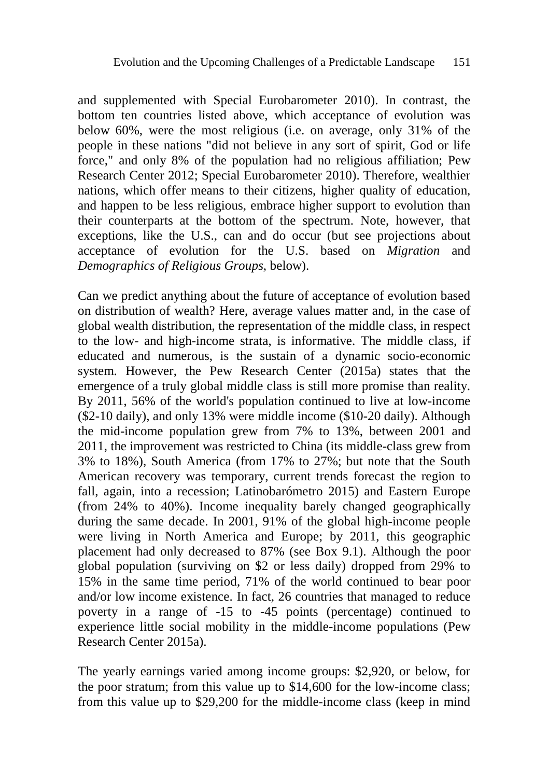and supplemented with Special Eurobarometer 2010). In contrast, the bottom ten countries listed above, which acceptance of evolution was below 60%, were the most religious (i.e. on average, only 31% of the people in these nations "did not believe in any sort of spirit, God or life force," and only 8% of the population had no religious affiliation; Pew Research Center 2012; Special Eurobarometer 2010). Therefore, wealthier nations, which offer means to their citizens, higher quality of education, and happen to be less religious, embrace higher support to evolution than their counterparts at the bottom of the spectrum. Note, however, that exceptions, like the U.S., can and do occur (but see projections about acceptance of evolution for the U.S. based on *Migration* and *Demographics of Religious Groups*, below).

Can we predict anything about the future of acceptance of evolution based on distribution of wealth? Here, average values matter and, in the case of global wealth distribution, the representation of the middle class, in respect to the low- and high-income strata, is informative. The middle class, if educated and numerous, is the sustain of a dynamic socio-economic system. However, the Pew Research Center (2015a) states that the emergence of a truly global middle class is still more promise than reality. By 2011, 56% of the world's population continued to live at low-income (\$2-10 daily), and only 13% were middle income (\$10-20 daily). Although the mid-income population grew from 7% to 13%, between 2001 and 2011, the improvement was restricted to China (its middle-class grew from 3% to 18%), South America (from 17% to 27%; but note that the South American recovery was temporary, current trends forecast the region to fall, again, into a recession; Latinobarómetro 2015) and Eastern Europe (from 24% to 40%). Income inequality barely changed geographically during the same decade. In 2001, 91% of the global high-income people were living in North America and Europe; by 2011, this geographic placement had only decreased to 87% (see Box 9.1). Although the poor global population (surviving on \$2 or less daily) dropped from 29% to 15% in the same time period, 71% of the world continued to bear poor and/or low income existence. In fact, 26 countries that managed to reduce poverty in a range of -15 to -45 points (percentage) continued to experience little social mobility in the middle-income populations (Pew Research Center 2015a).

The yearly earnings varied among income groups: \$2,920, or below, for the poor stratum; from this value up to \$14,600 for the low-income class; from this value up to \$29,200 for the middle-income class (keep in mind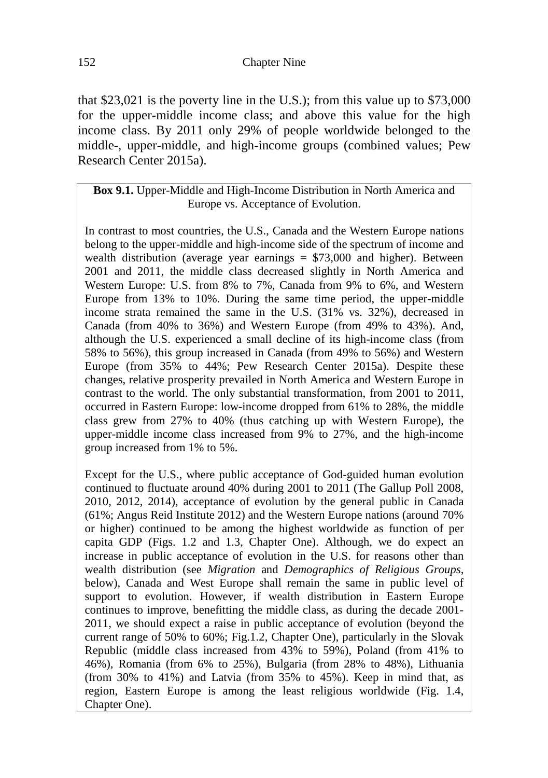that \$23,021 is the poverty line in the U.S.); from this value up to \$73,000 for the upper-middle income class; and above this value for the high income class. By 2011 only 29% of people worldwide belonged to the middle-, upper-middle, and high-income groups (combined values; Pew Research Center 2015a).

#### **Box 9.1.** Upper-Middle and High-Income Distribution in North America and Europe vs. Acceptance of Evolution.

In contrast to most countries, the U.S., Canada and the Western Europe nations belong to the upper-middle and high-income side of the spectrum of income and wealth distribution (average year earnings  $= $73,000$  and higher). Between 2001 and 2011, the middle class decreased slightly in North America and Western Europe: U.S. from 8% to 7%, Canada from 9% to 6%, and Western Europe from 13% to 10%. During the same time period, the upper-middle income strata remained the same in the U.S. (31% vs. 32%), decreased in Canada (from 40% to 36%) and Western Europe (from 49% to 43%). And, although the U.S. experienced a small decline of its high-income class (from 58% to 56%), this group increased in Canada (from 49% to 56%) and Western Europe (from 35% to 44%; Pew Research Center 2015a). Despite these changes, relative prosperity prevailed in North America and Western Europe in contrast to the world. The only substantial transformation, from 2001 to 2011, occurred in Eastern Europe: low-income dropped from 61% to 28%, the middle class grew from 27% to 40% (thus catching up with Western Europe), the upper-middle income class increased from 9% to 27%, and the high-income group increased from 1% to 5%.

Except for the U.S., where public acceptance of God-guided human evolution continued to fluctuate around 40% during 2001 to 2011 (The Gallup Poll 2008, 2010, 2012, 2014), acceptance of evolution by the general public in Canada (61%; Angus Reid Institute 2012) and the Western Europe nations (around 70% or higher) continued to be among the highest worldwide as function of per capita GDP (Figs. 1.2 and 1.3, Chapter One). Although, we do expect an increase in public acceptance of evolution in the U.S. for reasons other than wealth distribution (see *Migration* and *Demographics of Religious Groups*, below), Canada and West Europe shall remain the same in public level of support to evolution. However, if wealth distribution in Eastern Europe continues to improve, benefitting the middle class, as during the decade 2001- 2011, we should expect a raise in public acceptance of evolution (beyond the current range of 50% to 60%; Fig.1.2, Chapter One), particularly in the Slovak Republic (middle class increased from 43% to 59%), Poland (from 41% to 46%), Romania (from 6% to 25%), Bulgaria (from 28% to 48%), Lithuania (from 30% to 41%) and Latvia (from 35% to 45%). Keep in mind that, as region, Eastern Europe is among the least religious worldwide (Fig. 1.4, Chapter One).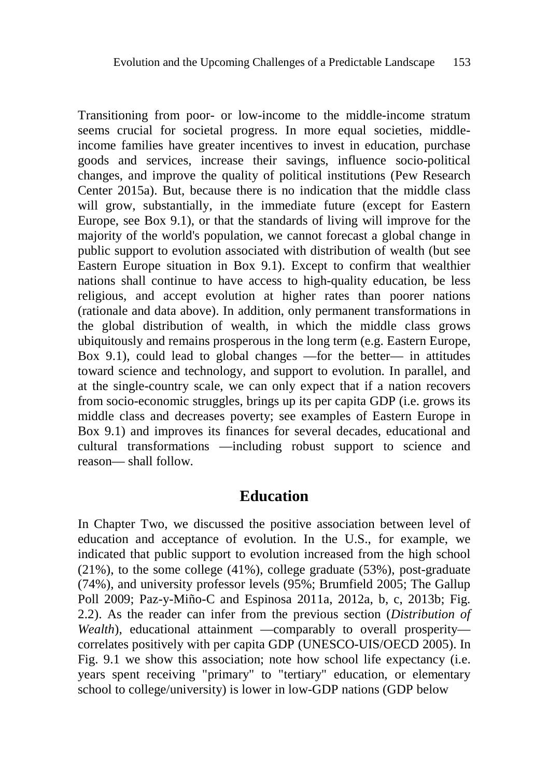Transitioning from poor- or low-income to the middle-income stratum seems crucial for societal progress. In more equal societies, middleincome families have greater incentives to invest in education, purchase goods and services, increase their savings, influence socio-political changes, and improve the quality of political institutions (Pew Research Center 2015a). But, because there is no indication that the middle class will grow, substantially, in the immediate future (except for Eastern Europe, see Box 9.1), or that the standards of living will improve for the majority of the world's population, we cannot forecast a global change in public support to evolution associated with distribution of wealth (but see Eastern Europe situation in Box 9.1). Except to confirm that wealthier nations shall continue to have access to high-quality education, be less religious, and accept evolution at higher rates than poorer nations (rationale and data above). In addition, only permanent transformations in the global distribution of wealth, in which the middle class grows ubiquitously and remains prosperous in the long term (e.g. Eastern Europe, Box 9.1), could lead to global changes —for the better— in attitudes toward science and technology, and support to evolution. In parallel, and at the single-country scale, we can only expect that if a nation recovers from socio-economic struggles, brings up its per capita GDP (i.e. grows its middle class and decreases poverty; see examples of Eastern Europe in Box 9.1) and improves its finances for several decades, educational and cultural transformations —including robust support to science and reason— shall follow.

#### **Education**

In Chapter Two, we discussed the positive association between level of education and acceptance of evolution. In the U.S., for example, we indicated that public support to evolution increased from the high school  $(21\%)$ , to the some college  $(41\%)$ , college graduate  $(53\%)$ , post-graduate (74%), and university professor levels (95%; Brumfield 2005; The Gallup Poll 2009; Paz-y-Miño-C and Espinosa 2011a, 2012a, b, c, 2013b; Fig. 2.2). As the reader can infer from the previous section (*Distribution of Wealth*), educational attainment —comparably to overall prosperity correlates positively with per capita GDP (UNESCO-UIS/OECD 2005). In Fig. 9.1 we show this association; note how school life expectancy (i.e. years spent receiving "primary" to "tertiary" education, or elementary school to college/university) is lower in low-GDP nations (GDP below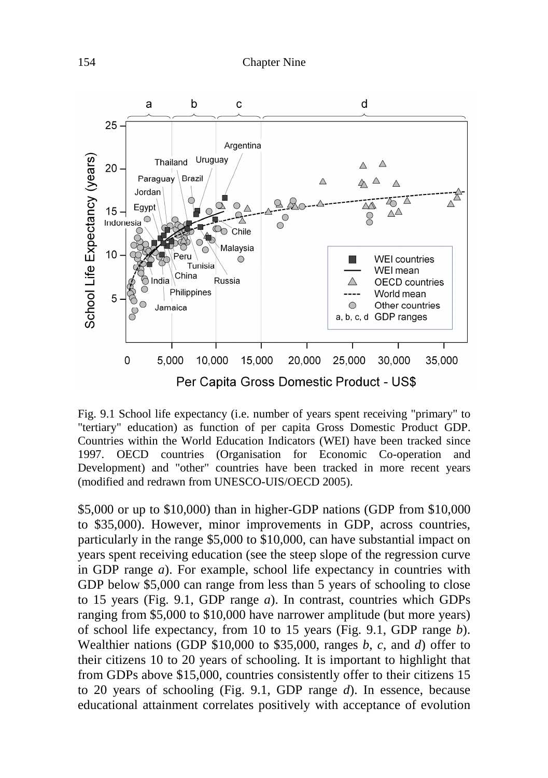

Fig. 9.1 School life expectancy (i.e. number of years spent receiving "primary" to "tertiary" education) as function of per capita Gross Domestic Product GDP. Countries within the World Education Indicators (WEI) have been tracked since 1997. OECD countries (Organisation for Economic Co-operation and Development) and "other" countries have been tracked in more recent years (modified and redrawn from UNESCO-UIS/OECD 2005).

\$5,000 or up to \$10,000) than in higher-GDP nations (GDP from \$10,000 to \$35,000). However, minor improvements in GDP, across countries, particularly in the range \$5,000 to \$10,000, can have substantial impact on years spent receiving education (see the steep slope of the regression curve in GDP range *a*). For example, school life expectancy in countries with GDP below \$5,000 can range from less than 5 years of schooling to close to 15 years (Fig. 9.1, GDP range *a*). In contrast, countries which GDPs ranging from \$5,000 to \$10,000 have narrower amplitude (but more years) of school life expectancy, from 10 to 15 years (Fig. 9.1, GDP range *b*). Wealthier nations (GDP \$10,000 to \$35,000, ranges *b*, *c*, and *d*) offer to their citizens 10 to 20 years of schooling. It is important to highlight that from GDPs above \$15,000, countries consistently offer to their citizens 15 to 20 years of schooling (Fig. 9.1, GDP range *d*). In essence, because educational attainment correlates positively with acceptance of evolution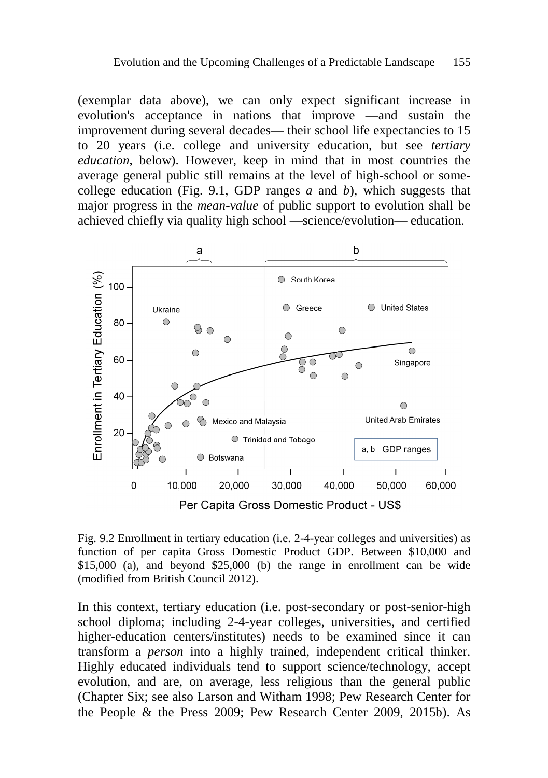(exemplar data above), we can only expect significant increase in evolution's acceptance in nations that improve —and sustain the improvement during several decades— their school life expectancies to 15 to 20 years (i.e. college and university education, but see *tertiary education*, below). However, keep in mind that in most countries the average general public still remains at the level of high-school or somecollege education (Fig. 9.1, GDP ranges *a* and *b*), which suggests that major progress in the *mean-value* of public support to evolution shall be achieved chiefly via quality high school —science/evolution— education.



Fig. 9.2 Enrollment in tertiary education (i.e. 2-4-year colleges and universities) as function of per capita Gross Domestic Product GDP. Between \$10,000 and \$15,000 (a), and beyond \$25,000 (b) the range in enrollment can be wide (modified from British Council 2012).

In this context, tertiary education (i.e. post-secondary or post-senior-high school diploma; including 2-4-year colleges, universities, and certified higher-education centers/institutes) needs to be examined since it can transform a *person* into a highly trained, independent critical thinker. Highly educated individuals tend to support science/technology, accept evolution, and are, on average, less religious than the general public (Chapter Six; see also Larson and Witham 1998; Pew Research Center for the People & the Press 2009; Pew Research Center 2009, 2015b). As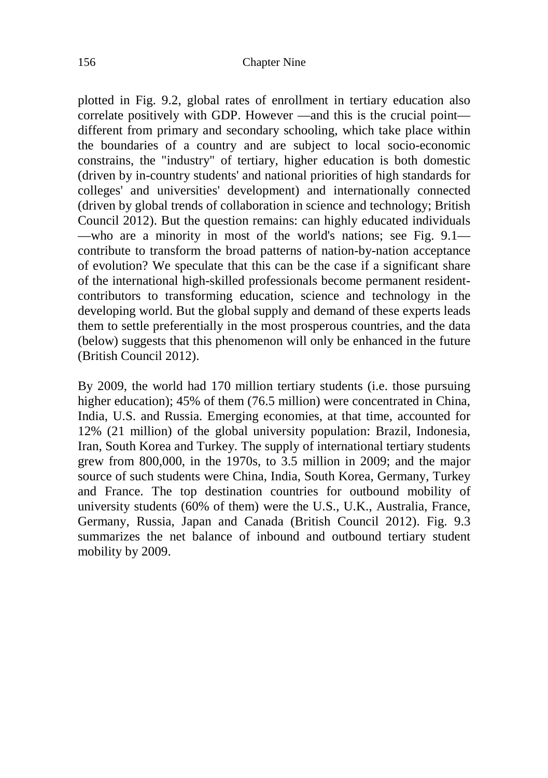plotted in Fig. 9.2, global rates of enrollment in tertiary education also correlate positively with GDP. However —and this is the crucial point different from primary and secondary schooling, which take place within the boundaries of a country and are subject to local socio-economic constrains, the "industry" of tertiary, higher education is both domestic (driven by in-country students' and national priorities of high standards for colleges' and universities' development) and internationally connected (driven by global trends of collaboration in science and technology; British Council 2012). But the question remains: can highly educated individuals —who are a minority in most of the world's nations; see Fig. 9.1 contribute to transform the broad patterns of nation-by-nation acceptance of evolution? We speculate that this can be the case if a significant share of the international high-skilled professionals become permanent residentcontributors to transforming education, science and technology in the developing world. But the global supply and demand of these experts leads them to settle preferentially in the most prosperous countries, and the data (below) suggests that this phenomenon will only be enhanced in the future (British Council 2012).

By 2009, the world had 170 million tertiary students (i.e. those pursuing higher education); 45% of them (76.5 million) were concentrated in China, India, U.S. and Russia. Emerging economies, at that time, accounted for 12% (21 million) of the global university population: Brazil, Indonesia, Iran, South Korea and Turkey. The supply of international tertiary students grew from 800,000, in the 1970s, to 3.5 million in 2009; and the major source of such students were China, India, South Korea, Germany, Turkey and France. The top destination countries for outbound mobility of university students (60% of them) were the U.S., U.K., Australia, France, Germany, Russia, Japan and Canada (British Council 2012). Fig. 9.3 summarizes the net balance of inbound and outbound tertiary student mobility by 2009.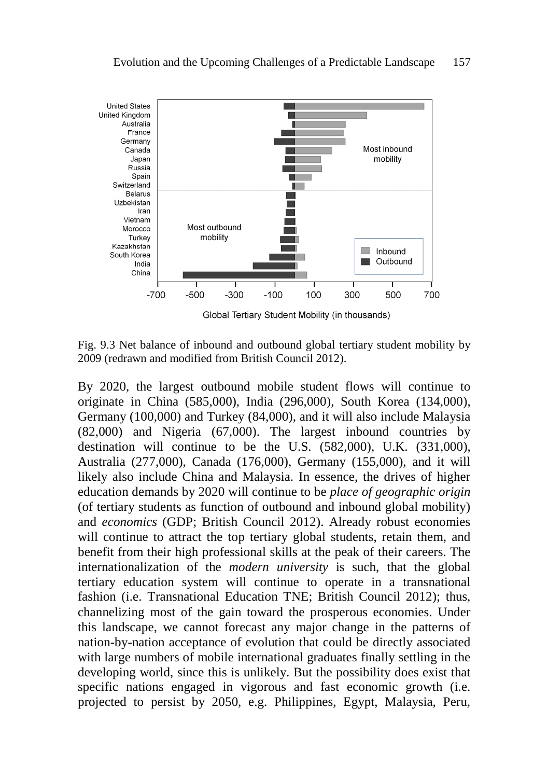

Fig. 9.3 Net balance of inbound and outbound global tertiary student mobility by 2009 (redrawn and modified from British Council 2012).

By 2020, the largest outbound mobile student flows will continue to originate in China (585,000), India (296,000), South Korea (134,000), Germany (100,000) and Turkey (84,000), and it will also include Malaysia (82,000) and Nigeria (67,000). The largest inbound countries by destination will continue to be the U.S. (582,000), U.K. (331,000), Australia (277,000), Canada (176,000), Germany (155,000), and it will likely also include China and Malaysia. In essence, the drives of higher education demands by 2020 will continue to be *place of geographic origin* (of tertiary students as function of outbound and inbound global mobility) and *economics* (GDP; British Council 2012). Already robust economies will continue to attract the top tertiary global students, retain them, and benefit from their high professional skills at the peak of their careers. The internationalization of the *modern university* is such, that the global tertiary education system will continue to operate in a transnational fashion (i.e. Transnational Education TNE; British Council 2012); thus, channelizing most of the gain toward the prosperous economies. Under this landscape, we cannot forecast any major change in the patterns of nation-by-nation acceptance of evolution that could be directly associated with large numbers of mobile international graduates finally settling in the developing world, since this is unlikely. But the possibility does exist that specific nations engaged in vigorous and fast economic growth (i.e. projected to persist by 2050, e.g. Philippines, Egypt, Malaysia, Peru,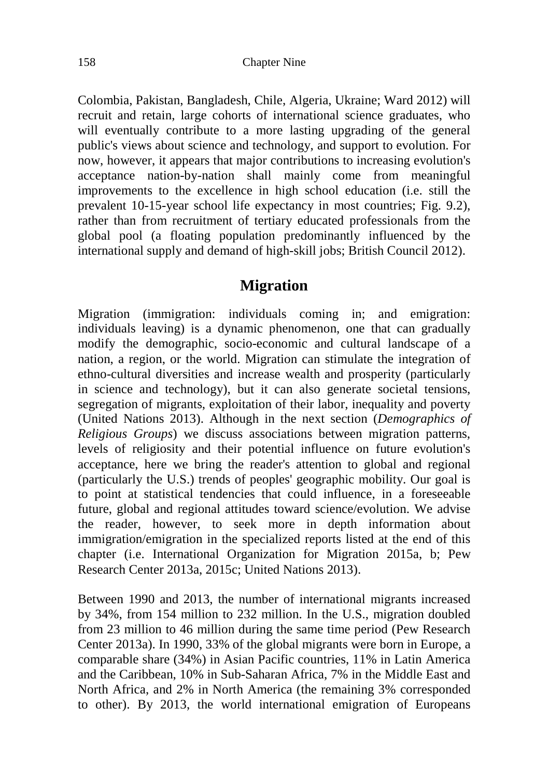Colombia, Pakistan, Bangladesh, Chile, Algeria, Ukraine; Ward 2012) will recruit and retain, large cohorts of international science graduates, who will eventually contribute to a more lasting upgrading of the general public's views about science and technology, and support to evolution. For now, however, it appears that major contributions to increasing evolution's acceptance nation-by-nation shall mainly come from meaningful improvements to the excellence in high school education (i.e. still the prevalent 10-15-year school life expectancy in most countries; Fig. 9.2), rather than from recruitment of tertiary educated professionals from the global pool (a floating population predominantly influenced by the international supply and demand of high-skill jobs; British Council 2012).

### **Migration**

Migration (immigration: individuals coming in; and emigration: individuals leaving) is a dynamic phenomenon, one that can gradually modify the demographic, socio-economic and cultural landscape of a nation, a region, or the world. Migration can stimulate the integration of ethno-cultural diversities and increase wealth and prosperity (particularly in science and technology), but it can also generate societal tensions, segregation of migrants, exploitation of their labor, inequality and poverty (United Nations 2013). Although in the next section (*Demographics of Religious Groups*) we discuss associations between migration patterns, levels of religiosity and their potential influence on future evolution's acceptance, here we bring the reader's attention to global and regional (particularly the U.S.) trends of peoples' geographic mobility. Our goal is to point at statistical tendencies that could influence, in a foreseeable future, global and regional attitudes toward science/evolution. We advise the reader, however, to seek more in depth information about immigration/emigration in the specialized reports listed at the end of this chapter (i.e. International Organization for Migration 2015a, b; Pew Research Center 2013a, 2015c; United Nations 2013).

Between 1990 and 2013, the number of international migrants increased by 34%, from 154 million to 232 million. In the U.S., migration doubled from 23 million to 46 million during the same time period (Pew Research Center 2013a). In 1990, 33% of the global migrants were born in Europe, a comparable share (34%) in Asian Pacific countries, 11% in Latin America and the Caribbean, 10% in Sub-Saharan Africa, 7% in the Middle East and North Africa, and 2% in North America (the remaining 3% corresponded to other). By 2013, the world international emigration of Europeans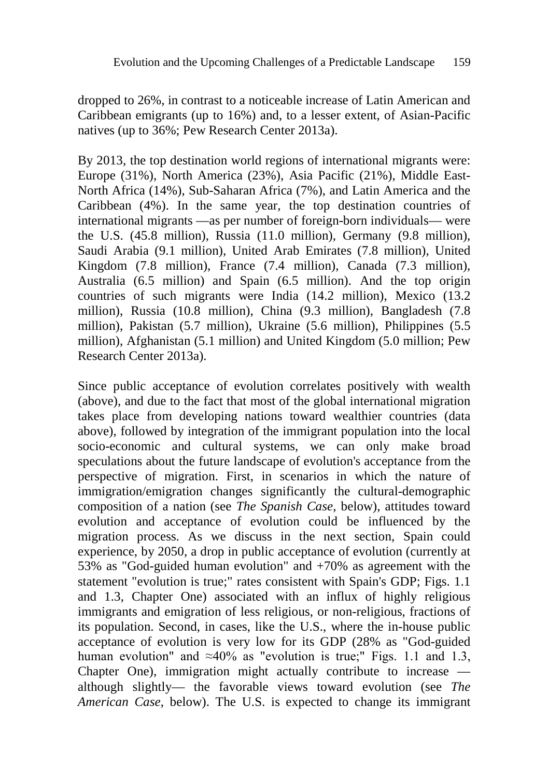dropped to 26%, in contrast to a noticeable increase of Latin American and Caribbean emigrants (up to 16%) and, to a lesser extent, of Asian-Pacific natives (up to 36%; Pew Research Center 2013a).

By 2013, the top destination world regions of international migrants were: Europe (31%), North America (23%), Asia Pacific (21%), Middle East-North Africa (14%), Sub-Saharan Africa (7%), and Latin America and the Caribbean (4%). In the same year, the top destination countries of international migrants —as per number of foreign-born individuals— were the U.S. (45.8 million), Russia (11.0 million), Germany (9.8 million), Saudi Arabia (9.1 million), United Arab Emirates (7.8 million), United Kingdom (7.8 million), France (7.4 million), Canada (7.3 million), Australia (6.5 million) and Spain (6.5 million). And the top origin countries of such migrants were India (14.2 million), Mexico (13.2 million), Russia (10.8 million), China (9.3 million), Bangladesh (7.8 million), Pakistan (5.7 million), Ukraine (5.6 million), Philippines (5.5 million), Afghanistan (5.1 million) and United Kingdom (5.0 million; Pew Research Center 2013a).

Since public acceptance of evolution correlates positively with wealth (above), and due to the fact that most of the global international migration takes place from developing nations toward wealthier countries (data above), followed by integration of the immigrant population into the local socio-economic and cultural systems, we can only make broad speculations about the future landscape of evolution's acceptance from the perspective of migration. First, in scenarios in which the nature of immigration/emigration changes significantly the cultural-demographic composition of a nation (see *The Spanish Case*, below), attitudes toward evolution and acceptance of evolution could be influenced by the migration process. As we discuss in the next section, Spain could experience, by 2050, a drop in public acceptance of evolution (currently at 53% as "God-guided human evolution" and +70% as agreement with the statement "evolution is true;" rates consistent with Spain's GDP; Figs. 1.1 and 1.3, Chapter One) associated with an influx of highly religious immigrants and emigration of less religious, or non-religious, fractions of its population. Second, in cases, like the U.S., where the in-house public acceptance of evolution is very low for its GDP (28% as "God-guided human evolution" and ≈40% as "evolution is true;" Figs. 1.1 and 1.3, Chapter One), immigration might actually contribute to increase although slightly— the favorable views toward evolution (see *The American Case*, below). The U.S. is expected to change its immigrant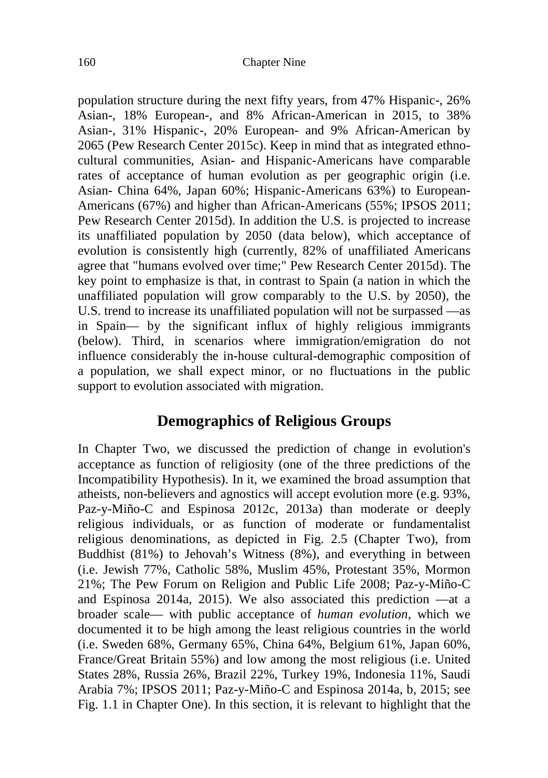population structure during the next fifty years, from 47% Hispanic-, 26% Asian-, 18% European-, and 8% African-American in 2015, to 38% Asian-, 31% Hispanic-, 20% European- and 9% African-American by 2065 (Pew Research Center 2015c). Keep in mind that as integrated ethnocultural communities, Asian- and Hispanic-Americans have comparable rates of acceptance of human evolution as per geographic origin (i.e. Asian- China 64%, Japan 60%; Hispanic-Americans 63%) to European-Americans (67%) and higher than African-Americans (55%; IPSOS 2011; Pew Research Center 2015d). In addition the U.S. is projected to increase its unaffiliated population by 2050 (data below), which acceptance of evolution is consistently high (currently, 82% of unaffiliated Americans agree that "humans evolved over time;" Pew Research Center 2015d). The key point to emphasize is that, in contrast to Spain (a nation in which the unaffiliated population will grow comparably to the U.S. by 2050), the U.S. trend to increase its unaffiliated population will not be surpassed —as in Spain— by the significant influx of highly religious immigrants (below). Third, in scenarios where immigration/emigration do not influence considerably the in-house cultural-demographic composition of a population, we shall expect minor, or no fluctuations in the public support to evolution associated with migration.

## **Demographics of Religious Groups**

In Chapter Two, we discussed the prediction of change in evolution's acceptance as function of religiosity (one of the three predictions of the Incompatibility Hypothesis). In it, we examined the broad assumption that atheists, non-believers and agnostics will accept evolution more (e.g. 93%, Paz-y-Miño-C and Espinosa 2012c, 2013a) than moderate or deeply religious individuals, or as function of moderate or fundamentalist religious denominations, as depicted in Fig. 2.5 (Chapter Two), from Buddhist (81%) to Jehovah's Witness (8%), and everything in between (i.e. Jewish 77%, Catholic 58%, Muslim 45%, Protestant 35%, Mormon 21%; The Pew Forum on Religion and Public Life 2008; Paz-y-Miño-C and Espinosa 2014a, 2015). We also associated this prediction —at a broader scale— with public acceptance of *human evolution*, which we documented it to be high among the least religious countries in the world (i.e. Sweden 68%, Germany 65%, China 64%, Belgium 61%, Japan 60%, France/Great Britain 55%) and low among the most religious (i.e. United States 28%, Russia 26%, Brazil 22%, Turkey 19%, Indonesia 11%, Saudi Arabia 7%; IPSOS 2011; Paz-y-Miño-C and Espinosa 2014a, b, 2015; see Fig. 1.1 in Chapter One). In this section, it is relevant to highlight that the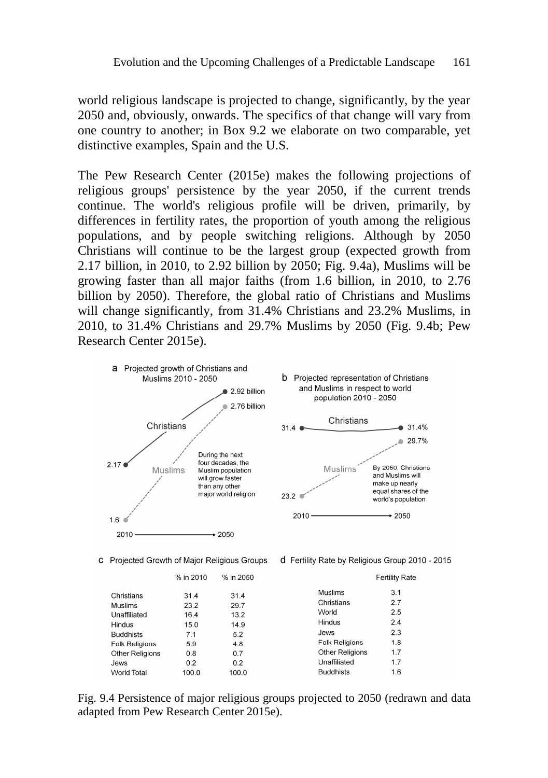world religious landscape is projected to change, significantly, by the year 2050 and, obviously, onwards. The specifics of that change will vary from one country to another; in Box 9.2 we elaborate on two comparable, yet distinctive examples, Spain and the U.S.

The Pew Research Center (2015e) makes the following projections of religious groups' persistence by the year 2050, if the current trends continue. The world's religious profile will be driven, primarily, by differences in fertility rates, the proportion of youth among the religious populations, and by people switching religions. Although by 2050 Christians will continue to be the largest group (expected growth from 2.17 billion, in 2010, to 2.92 billion by 2050; Fig. 9.4a), Muslims will be growing faster than all major faiths (from 1.6 billion, in 2010, to 2.76 billion by 2050). Therefore, the global ratio of Christians and Muslims will change significantly, from 31.4% Christians and 23.2% Muslims, in 2010, to 31.4% Christians and 29.7% Muslims by 2050 (Fig. 9.4b; Pew Research Center 2015e).



Fig. 9.4 Persistence of major religious groups projected to 2050 (redrawn and data adapted from Pew Research Center 2015e).

 $0.2$ 

100.0

 $02$ 

100.0

**PWS** World Total Unaffiliated

**Buddhists** 

 $1.7$ 

 $1.6$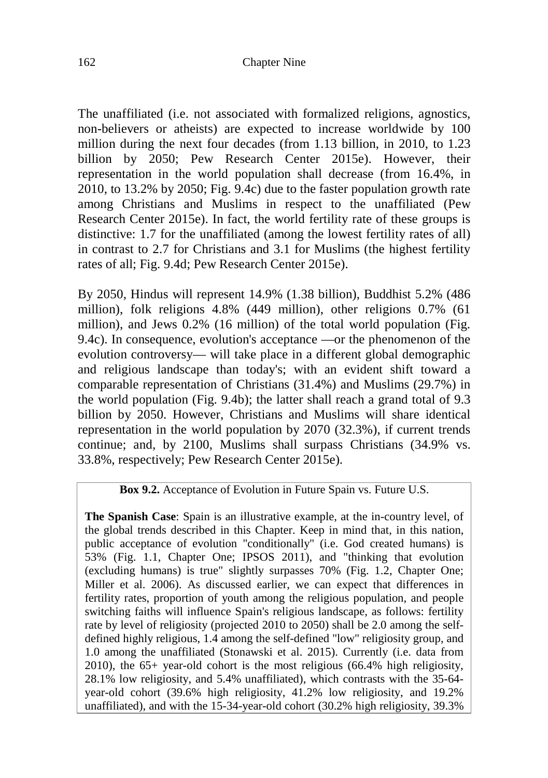The unaffiliated (i.e. not associated with formalized religions, agnostics, non-believers or atheists) are expected to increase worldwide by 100 million during the next four decades (from 1.13 billion, in 2010, to 1.23 billion by 2050; Pew Research Center 2015e). However, their representation in the world population shall decrease (from 16.4%, in 2010, to 13.2% by 2050; Fig. 9.4c) due to the faster population growth rate among Christians and Muslims in respect to the unaffiliated (Pew Research Center 2015e). In fact, the world fertility rate of these groups is distinctive: 1.7 for the unaffiliated (among the lowest fertility rates of all) in contrast to 2.7 for Christians and 3.1 for Muslims (the highest fertility rates of all; Fig. 9.4d; Pew Research Center 2015e).

By 2050, Hindus will represent 14.9% (1.38 billion), Buddhist 5.2% (486 million), folk religions 4.8% (449 million), other religions 0.7% (61 million), and Jews 0.2% (16 million) of the total world population (Fig. 9.4c). In consequence, evolution's acceptance —or the phenomenon of the evolution controversy— will take place in a different global demographic and religious landscape than today's; with an evident shift toward a comparable representation of Christians (31.4%) and Muslims (29.7%) in the world population (Fig. 9.4b); the latter shall reach a grand total of 9.3 billion by 2050. However, Christians and Muslims will share identical representation in the world population by 2070 (32.3%), if current trends continue; and, by 2100, Muslims shall surpass Christians (34.9% vs. 33.8%, respectively; Pew Research Center 2015e).

#### **Box 9.2.** Acceptance of Evolution in Future Spain vs. Future U.S.

**The Spanish Case**: Spain is an illustrative example, at the in-country level, of the global trends described in this Chapter. Keep in mind that, in this nation, public acceptance of evolution "conditionally" (i.e. God created humans) is 53% (Fig. 1.1, Chapter One; IPSOS 2011), and "thinking that evolution (excluding humans) is true" slightly surpasses 70% (Fig. 1.2, Chapter One; Miller et al. 2006). As discussed earlier, we can expect that differences in fertility rates, proportion of youth among the religious population, and people switching faiths will influence Spain's religious landscape, as follows: fertility rate by level of religiosity (projected 2010 to 2050) shall be 2.0 among the selfdefined highly religious, 1.4 among the self-defined "low" religiosity group, and 1.0 among the unaffiliated (Stonawski et al. 2015). Currently (i.e. data from 2010), the 65+ year-old cohort is the most religious (66.4% high religiosity, 28.1% low religiosity, and 5.4% unaffiliated), which contrasts with the 35-64 year-old cohort (39.6% high religiosity, 41.2% low religiosity, and 19.2% unaffiliated), and with the 15-34-year-old cohort (30.2% high religiosity, 39.3%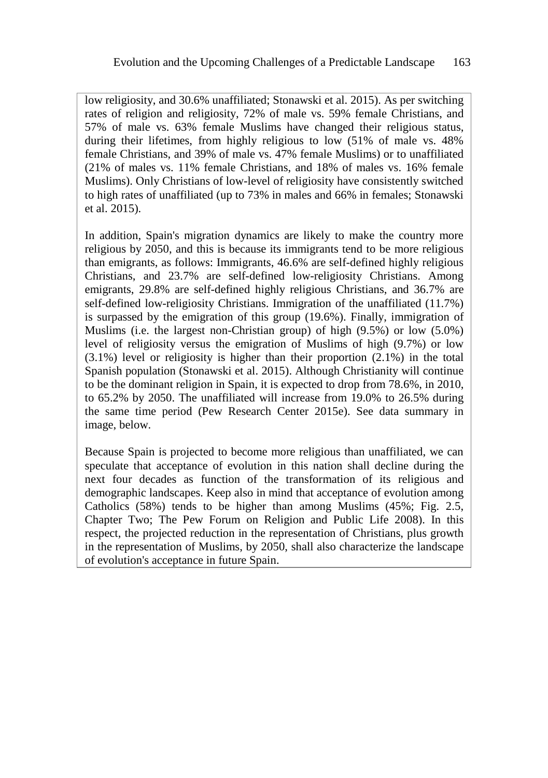low religiosity, and 30.6% unaffiliated; Stonawski et al. 2015). As per switching rates of religion and religiosity, 72% of male vs. 59% female Christians, and 57% of male vs. 63% female Muslims have changed their religious status, during their lifetimes, from highly religious to low (51% of male vs. 48% female Christians, and 39% of male vs. 47% female Muslims) or to unaffiliated (21% of males vs. 11% female Christians, and 18% of males vs. 16% female Muslims). Only Christians of low-level of religiosity have consistently switched to high rates of unaffiliated (up to 73% in males and 66% in females; Stonawski et al. 2015).

In addition, Spain's migration dynamics are likely to make the country more religious by 2050, and this is because its immigrants tend to be more religious than emigrants, as follows: Immigrants, 46.6% are self-defined highly religious Christians, and 23.7% are self-defined low-religiosity Christians. Among emigrants, 29.8% are self-defined highly religious Christians, and 36.7% are self-defined low-religiosity Christians. Immigration of the unaffiliated (11.7%) is surpassed by the emigration of this group (19.6%). Finally, immigration of Muslims (i.e. the largest non-Christian group) of high (9.5%) or low (5.0%) level of religiosity versus the emigration of Muslims of high (9.7%) or low (3.1%) level or religiosity is higher than their proportion (2.1%) in the total Spanish population (Stonawski et al. 2015). Although Christianity will continue to be the dominant religion in Spain, it is expected to drop from 78.6%, in 2010, to 65.2% by 2050. The unaffiliated will increase from 19.0% to 26.5% during the same time period (Pew Research Center 2015e). See data summary in image, below.

Because Spain is projected to become more religious than unaffiliated, we can speculate that acceptance of evolution in this nation shall decline during the next four decades as function of the transformation of its religious and demographic landscapes. Keep also in mind that acceptance of evolution among Catholics (58%) tends to be higher than among Muslims (45%; Fig. 2.5, Chapter Two; The Pew Forum on Religion and Public Life 2008). In this respect, the projected reduction in the representation of Christians, plus growth in the representation of Muslims, by 2050, shall also characterize the landscape of evolution's acceptance in future Spain.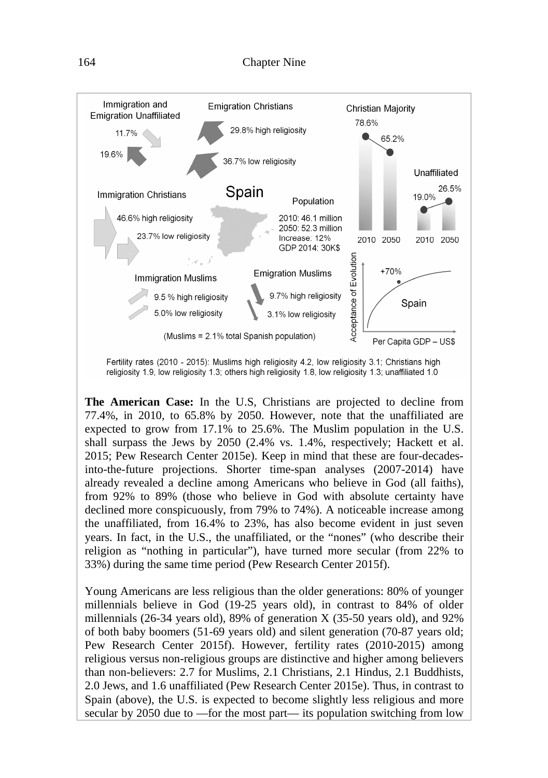

Fertility rates (2010 - 2015): Muslims high religiosity 4.2, low religiosity 3.1; Christians high religiosity 1.9, low religiosity 1.3; others high religiosity 1.8, low religiosity 1.3; unaffiliated 1.0

**The American Case:** In the U.S, Christians are projected to decline from 77.4%, in 2010, to 65.8% by 2050. However, note that the unaffiliated are expected to grow from 17.1% to 25.6%. The Muslim population in the U.S. shall surpass the Jews by 2050 (2.4% vs. 1.4%, respectively; Hackett et al. 2015; Pew Research Center 2015e). Keep in mind that these are four-decadesinto-the-future projections. Shorter time-span analyses (2007-2014) have already revealed a decline among Americans who believe in God (all faiths), from 92% to 89% (those who believe in God with absolute certainty have declined more conspicuously, from 79% to 74%). A noticeable increase among the unaffiliated, from 16.4% to 23%, has also become evident in just seven years. In fact, in the U.S., the unaffiliated, or the "nones" (who describe their religion as "nothing in particular"), have turned more secular (from 22% to 33%) during the same time period (Pew Research Center 2015f).

Young Americans are less religious than the older generations: 80% of younger millennials believe in God (19-25 years old), in contrast to 84% of older millennials (26-34 years old), 89% of generation X (35-50 years old), and 92% of both baby boomers (51-69 years old) and silent generation (70-87 years old; Pew Research Center 2015f). However, fertility rates (2010-2015) among religious versus non-religious groups are distinctive and higher among believers than non-believers: 2.7 for Muslims, 2.1 Christians, 2.1 Hindus, 2.1 Buddhists, 2.0 Jews, and 1.6 unaffiliated (Pew Research Center 2015e). Thus, in contrast to Spain (above), the U.S. is expected to become slightly less religious and more secular by 2050 due to —for the most part— its population switching from low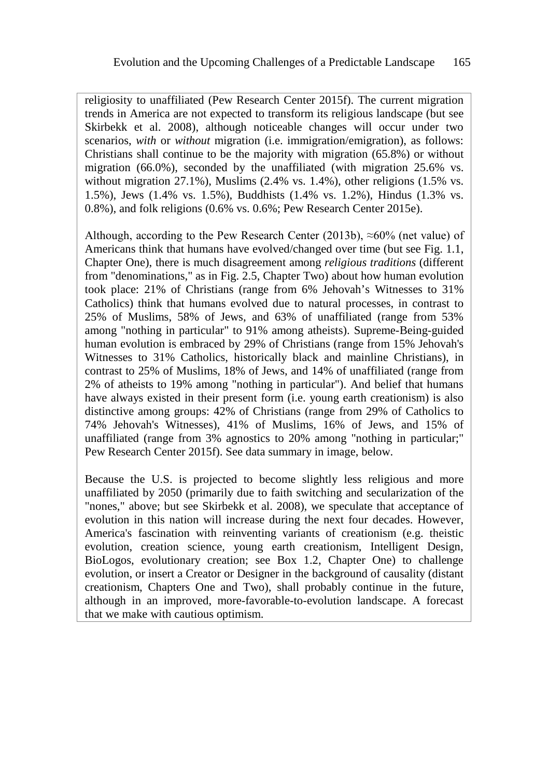religiosity to unaffiliated (Pew Research Center 2015f). The current migration trends in America are not expected to transform its religious landscape (but see Skirbekk et al. 2008), although noticeable changes will occur under two scenarios, *with* or *without* migration (i.e. immigration/emigration), as follows: Christians shall continue to be the majority with migration (65.8%) or without migration (66.0%), seconded by the unaffiliated (with migration 25.6% vs. without migration 27.1%), Muslims (2.4% vs. 1.4%), other religions (1.5% vs. 1.5%), Jews (1.4% vs. 1.5%), Buddhists (1.4% vs. 1.2%), Hindus (1.3% vs. 0.8%), and folk religions (0.6% vs. 0.6%; Pew Research Center 2015e).

Although, according to the Pew Research Center (2013b),  $\approx 60\%$  (net value) of Americans think that humans have evolved/changed over time (but see Fig. 1.1, Chapter One), there is much disagreement among *religious traditions* (different from "denominations," as in Fig. 2.5, Chapter Two) about how human evolution took place: 21% of Christians (range from 6% Jehovah's Witnesses to 31% Catholics) think that humans evolved due to natural processes, in contrast to 25% of Muslims, 58% of Jews, and 63% of unaffiliated (range from 53% among "nothing in particular" to 91% among atheists). Supreme-Being-guided human evolution is embraced by 29% of Christians (range from 15% Jehovah's Witnesses to 31% Catholics, historically black and mainline Christians), in contrast to 25% of Muslims, 18% of Jews, and 14% of unaffiliated (range from 2% of atheists to 19% among "nothing in particular"). And belief that humans have always existed in their present form (i.e. young earth creationism) is also distinctive among groups: 42% of Christians (range from 29% of Catholics to 74% Jehovah's Witnesses), 41% of Muslims, 16% of Jews, and 15% of unaffiliated (range from 3% agnostics to 20% among "nothing in particular;" Pew Research Center 2015f). See data summary in image, below.

Because the U.S. is projected to become slightly less religious and more unaffiliated by 2050 (primarily due to faith switching and secularization of the "nones," above; but see Skirbekk et al. 2008), we speculate that acceptance of evolution in this nation will increase during the next four decades. However, America's fascination with reinventing variants of creationism (e.g. theistic evolution, creation science, young earth creationism, Intelligent Design, BioLogos, evolutionary creation; see Box 1.2, Chapter One) to challenge evolution, or insert a Creator or Designer in the background of causality (distant creationism, Chapters One and Two), shall probably continue in the future, although in an improved, more-favorable-to-evolution landscape. A forecast that we make with cautious optimism.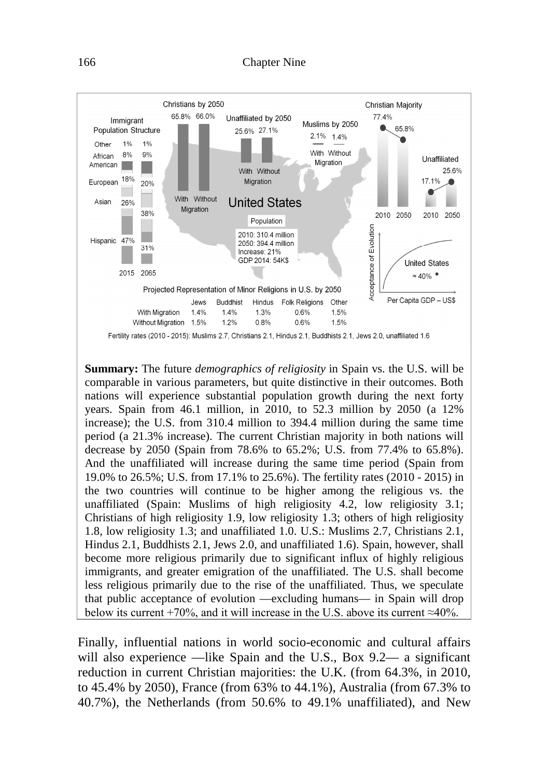

**Summary:** The future *demographics of religiosity* in Spain vs. the U.S. will be comparable in various parameters, but quite distinctive in their outcomes. Both nations will experience substantial population growth during the next forty years. Spain from 46.1 million, in 2010, to 52.3 million by 2050 (a 12% increase); the U.S. from 310.4 million to 394.4 million during the same time period (a 21.3% increase). The current Christian majority in both nations will decrease by 2050 (Spain from 78.6% to 65.2%; U.S. from 77.4% to 65.8%). And the unaffiliated will increase during the same time period (Spain from 19.0% to 26.5%; U.S. from 17.1% to 25.6%). The fertility rates (2010 - 2015) in the two countries will continue to be higher among the religious vs. the unaffiliated (Spain: Muslims of high religiosity 4.2, low religiosity 3.1; Christians of high religiosity 1.9, low religiosity 1.3; others of high religiosity 1.8, low religiosity 1.3; and unaffiliated 1.0. U.S.: Muslims 2.7, Christians 2.1, Hindus 2.1, Buddhists 2.1, Jews 2.0, and unaffiliated 1.6). Spain, however, shall become more religious primarily due to significant influx of highly religious immigrants, and greater emigration of the unaffiliated. The U.S. shall become less religious primarily due to the rise of the unaffiliated. Thus, we speculate that public acceptance of evolution —excluding humans— in Spain will drop below its current +70%, and it will increase in the U.S. above its current ≈40%.

Finally, influential nations in world socio-economic and cultural affairs will also experience —like Spain and the U.S., Box 9.2— a significant reduction in current Christian majorities: the U.K. (from 64.3%, in 2010, to 45.4% by 2050), France (from 63% to 44.1%), Australia (from 67.3% to 40.7%), the Netherlands (from 50.6% to 49.1% unaffiliated), and New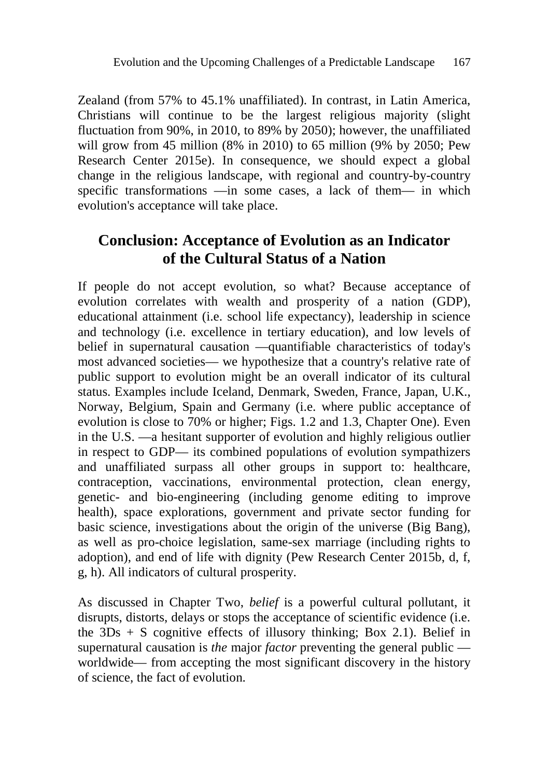Zealand (from 57% to 45.1% unaffiliated). In contrast, in Latin America, Christians will continue to be the largest religious majority (slight fluctuation from 90%, in 2010, to 89% by 2050); however, the unaffiliated will grow from 45 million (8% in 2010) to 65 million (9% by 2050; Pew Research Center 2015e). In consequence, we should expect a global change in the religious landscape, with regional and country-by-country specific transformations —in some cases, a lack of them— in which evolution's acceptance will take place.

## **Conclusion: Acceptance of Evolution as an Indicator of the Cultural Status of a Nation**

If people do not accept evolution, so what? Because acceptance of evolution correlates with wealth and prosperity of a nation (GDP), educational attainment (i.e. school life expectancy), leadership in science and technology (i.e. excellence in tertiary education), and low levels of belief in supernatural causation —quantifiable characteristics of today's most advanced societies— we hypothesize that a country's relative rate of public support to evolution might be an overall indicator of its cultural status. Examples include Iceland, Denmark, Sweden, France, Japan, U.K., Norway, Belgium, Spain and Germany (i.e. where public acceptance of evolution is close to 70% or higher; Figs. 1.2 and 1.3, Chapter One). Even in the U.S. —a hesitant supporter of evolution and highly religious outlier in respect to GDP— its combined populations of evolution sympathizers and unaffiliated surpass all other groups in support to: healthcare, contraception, vaccinations, environmental protection, clean energy, genetic- and bio-engineering (including genome editing to improve health), space explorations, government and private sector funding for basic science, investigations about the origin of the universe (Big Bang), as well as pro-choice legislation, same-sex marriage (including rights to adoption), and end of life with dignity (Pew Research Center 2015b, d, f, g, h). All indicators of cultural prosperity.

As discussed in Chapter Two, *belief* is a powerful cultural pollutant, it disrupts, distorts, delays or stops the acceptance of scientific evidence (i.e. the  $3Ds + S$  cognitive effects of illusory thinking; Box 2.1). Belief in supernatural causation is *the* major *factor* preventing the general public worldwide— from accepting the most significant discovery in the history of science, the fact of evolution.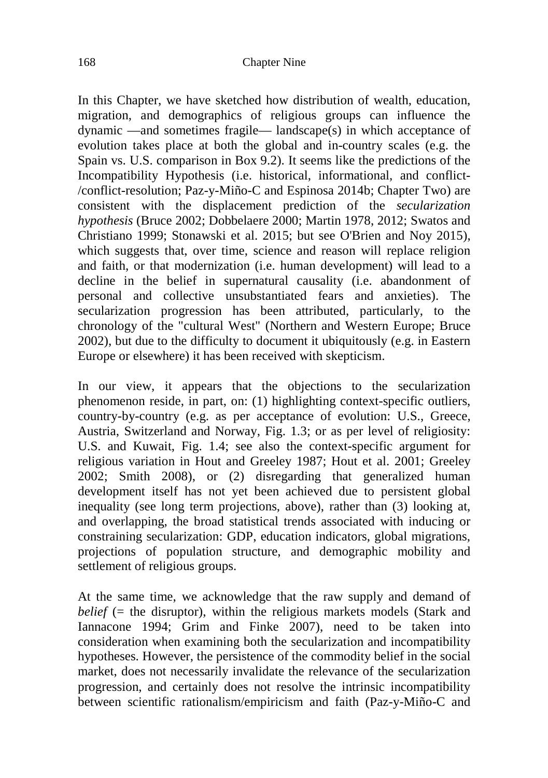In this Chapter, we have sketched how distribution of wealth, education, migration, and demographics of religious groups can influence the dynamic —and sometimes fragile— landscape(s) in which acceptance of evolution takes place at both the global and in-country scales (e.g. the Spain vs. U.S. comparison in Box 9.2). It seems like the predictions of the Incompatibility Hypothesis (i.e. historical, informational, and conflict- /conflict-resolution; Paz-y-Miño-C and Espinosa 2014b; Chapter Two) are consistent with the displacement prediction of the *secularization hypothesis* (Bruce 2002; Dobbelaere 2000; Martin 1978, 2012; Swatos and Christiano 1999; Stonawski et al. 2015; but see O'Brien and Noy 2015), which suggests that, over time, science and reason will replace religion and faith, or that modernization (i.e. human development) will lead to a decline in the belief in supernatural causality (i.e. abandonment of personal and collective unsubstantiated fears and anxieties). The secularization progression has been attributed, particularly, to the chronology of the "cultural West" (Northern and Western Europe; Bruce 2002), but due to the difficulty to document it ubiquitously (e.g. in Eastern Europe or elsewhere) it has been received with skepticism.

In our view, it appears that the objections to the secularization phenomenon reside, in part, on: (1) highlighting context-specific outliers, country-by-country (e.g. as per acceptance of evolution: U.S., Greece, Austria, Switzerland and Norway, Fig. 1.3; or as per level of religiosity: U.S. and Kuwait, Fig. 1.4; see also the context-specific argument for religious variation in Hout and Greeley 1987; Hout et al. 2001; Greeley 2002; Smith 2008), or (2) disregarding that generalized human development itself has not yet been achieved due to persistent global inequality (see long term projections, above), rather than (3) looking at, and overlapping, the broad statistical trends associated with inducing or constraining secularization: GDP, education indicators, global migrations, projections of population structure, and demographic mobility and settlement of religious groups.

At the same time, we acknowledge that the raw supply and demand of *belief* ( $=$  the disruptor), within the religious markets models (Stark and Iannacone 1994; Grim and Finke 2007), need to be taken into consideration when examining both the secularization and incompatibility hypotheses. However, the persistence of the commodity belief in the social market, does not necessarily invalidate the relevance of the secularization progression, and certainly does not resolve the intrinsic incompatibility between scientific rationalism/empiricism and faith (Paz-y-Miño-C and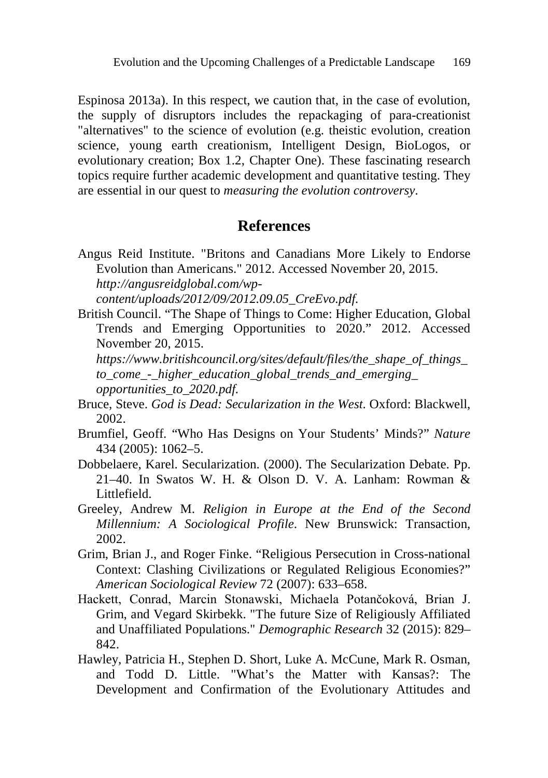Espinosa 2013a). In this respect, we caution that, in the case of evolution, the supply of disruptors includes the repackaging of para-creationist "alternatives" to the science of evolution (e.g. theistic evolution, creation science, young earth creationism, Intelligent Design, BioLogos, or evolutionary creation; Box 1.2, Chapter One). These fascinating research topics require further academic development and quantitative testing. They are essential in our quest to *measuring the evolution controversy*.

### **References**

Angus Reid Institute. "Britons and Canadians More Likely to Endorse Evolution than Americans." 2012. Accessed November 20, 2015. *http://angusreidglobal.com/wp-*

*content/uploads/2012/09/2012.09.05\_CreEvo.pdf.*

British Council. "The Shape of Things to Come: Higher Education, Global Trends and Emerging Opportunities to 2020." 2012. Accessed November 20, 2015.

*https://www.britishcouncil.org/sites/default/files/the\_shape\_of\_things\_ to\_come\_-\_higher\_education\_global\_trends\_and\_emerging\_ opportunities\_to\_2020.pdf.*

- Bruce, Steve. *God is Dead: Secularization in the West*. Oxford: Blackwell, 2002.
- Brumfiel, Geoff. "Who Has Designs on Your Students' Minds?" *Nature* 434 (2005): 1062–5.
- Dobbelaere, Karel. Secularization. (2000). The Secularization Debate. Pp. 21–40. In Swatos W. H. & Olson D. V. A. Lanham: Rowman & Littlefield.
- Greeley, Andrew M. *Religion in Europe at the End of the Second Millennium: A Sociological Profile*. New Brunswick: Transaction, 2002.
- Grim, Brian J., and Roger Finke. "Religious Persecution in Cross-national Context: Clashing Civilizations or Regulated Religious Economies?" *American Sociological Review* 72 (2007): 633–658.
- Hackett, Conrad, Marcin Stonawski, Michaela Potančoková, Brian J. Grim, and Vegard Skirbekk. "The future Size of Religiously Affiliated and Unaffiliated Populations." *Demographic Research* 32 (2015): 829– 842.
- Hawley, Patricia H., Stephen D. Short, Luke A. McCune, Mark R. Osman, and Todd D. Little. "What's the Matter with Kansas?: The Development and Confirmation of the Evolutionary Attitudes and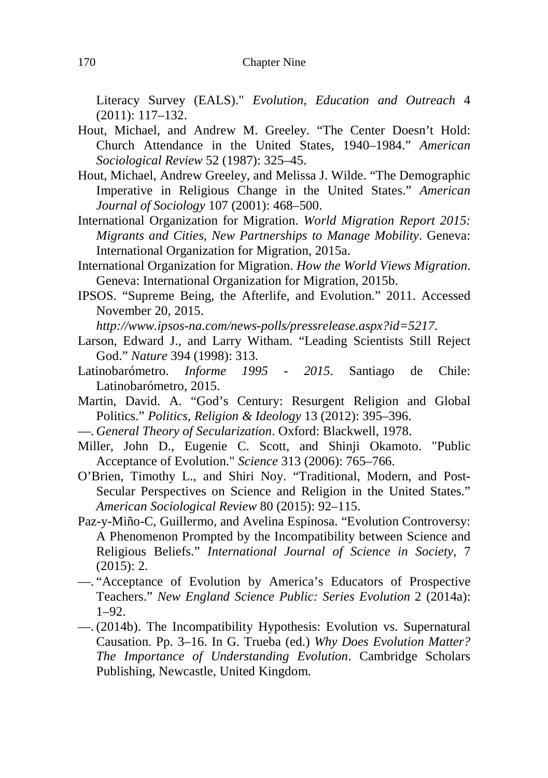Literacy Survey (EALS)." *Evolution, Education and Outreach* 4 (2011): 117–132.

- Hout, Michael, and Andrew M. Greeley. "The Center Doesn't Hold: Church Attendance in the United States, 1940–1984." *American Sociological Review* 52 (1987): 325–45.
- Hout, Michael, Andrew Greeley, and Melissa J. Wilde. "The Demographic Imperative in Religious Change in the United States." *American Journal of Sociology* 107 (2001): 468–500.
- International Organization for Migration. *World Migration Report 2015: Migrants and Cities, New Partnerships to Manage Mobility*. Geneva: International Organization for Migration, 2015a.
- International Organization for Migration. *How the World Views Migration*. Geneva: International Organization for Migration, 2015b.
- IPSOS. "Supreme Being, the Afterlife, and Evolution." 2011. Accessed November 20, 2015.

*http://www.ipsos-na.com/news-polls/pressrelease.aspx?id=5217.*

- Larson, Edward J., and Larry Witham. "Leading Scientists Still Reject God." *Nature* 394 (1998): 313.
- Latinobarómetro. *Informe 1995 2015*. Santiago de Chile: Latinobarómetro, 2015.
- Martin, David. A. "God's Century: Resurgent Religion and Global Politics." *Politics, Religion & Ideology* 13 (2012): 395–396.
- —. *General Theory of Secularization*. Oxford: Blackwell, 1978.
- Miller, John D., Eugenie C. Scott, and Shinji Okamoto. "Public Acceptance of Evolution." *Science* 313 (2006): 765–766.
- O'Brien, Timothy L., and Shiri Noy. "Traditional, Modern, and Post-Secular Perspectives on Science and Religion in the United States." *American Sociological Review* 80 (2015): 92–115.
- Paz-y-Miño-C, Guillermo, and Avelina Espinosa. "Evolution Controversy: A Phenomenon Prompted by the Incompatibility between Science and Religious Beliefs." *International Journal of Science in Society*, 7  $(2015): 2.$
- —. "Acceptance of Evolution by America's Educators of Prospective Teachers." *New England Science Public: Series Evolution* 2 (2014a): 1–92.
- —. (2014b). The Incompatibility Hypothesis: Evolution vs. Supernatural Causation. Pp. 3–16. In G. Trueba (ed.) *Why Does Evolution Matter? The Importance of Understanding Evolution*. Cambridge Scholars Publishing, Newcastle, United Kingdom.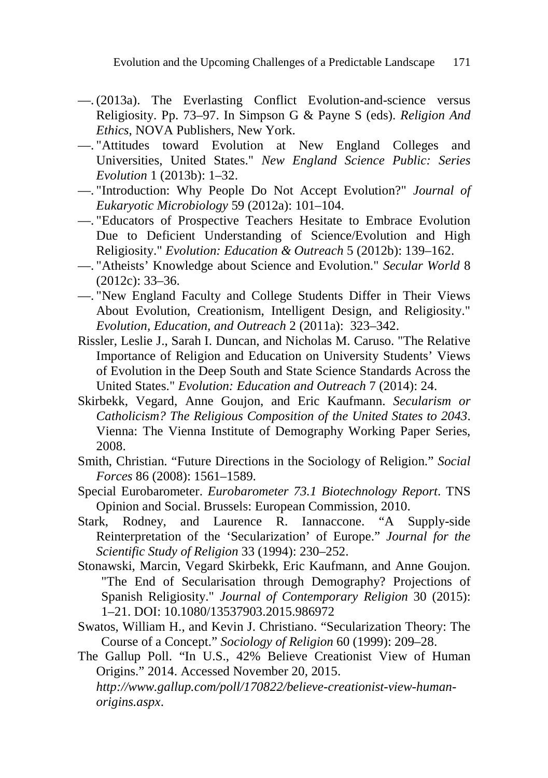- —. (2013a). The Everlasting Conflict Evolution-and-science versus Religiosity. Pp. 73–97. In Simpson G & Payne S (eds). *Religion And Ethics*, NOVA Publishers, New York.
- —. "Attitudes toward Evolution at New England Colleges and Universities, United States." *New England Science Public: Series Evolution* 1 (2013b): 1–32.
- —. "Introduction: Why People Do Not Accept Evolution?" *Journal of Eukaryotic Microbiology* 59 (2012a): 101–104.
- —. "Educators of Prospective Teachers Hesitate to Embrace Evolution Due to Deficient Understanding of Science/Evolution and High Religiosity." *Evolution: Education & Outreach* 5 (2012b): 139–162.
- —. "Atheists' Knowledge about Science and Evolution." *Secular World* 8 (2012c): 33–36.
- —. "New England Faculty and College Students Differ in Their Views About Evolution, Creationism, Intelligent Design, and Religiosity." *Evolution, Education, and Outreach* 2 (2011a): 323–342.
- Rissler, Leslie J., Sarah I. Duncan, and Nicholas M. Caruso. "The Relative Importance of Religion and Education on University Students' Views of Evolution in the Deep South and State Science Standards Across the United States." *Evolution: Education and Outreach* 7 (2014): 24.
- Skirbekk, Vegard, Anne Goujon, and Eric Kaufmann. *Secularism or Catholicism? The Religious Composition of the United States to 2043*. Vienna: The Vienna Institute of Demography Working Paper Series, 2008.
- Smith, Christian. "Future Directions in the Sociology of Religion." *Social Forces* 86 (2008): 1561–1589.
- Special Eurobarometer. *Eurobarometer 73.1 Biotechnology Report*. TNS Opinion and Social. Brussels: European Commission, 2010.
- Stark, Rodney, and Laurence R. Iannaccone. "A Supply-side Reinterpretation of the 'Secularization' of Europe." *Journal for the Scientific Study of Religion* 33 (1994): 230–252.
- Stonawski, Marcin, Vegard Skirbekk, Eric Kaufmann, and Anne Goujon. "The End of Secularisation through Demography? Projections of Spanish Religiosity." *Journal of Contemporary Religion* 30 (2015): 1–21. DOI: 10.1080/13537903.2015.986972
- Swatos, William H., and Kevin J. Christiano. "Secularization Theory: The Course of a Concept." *Sociology of Religion* 60 (1999): 209–28.
- The Gallup Poll. "In U.S., 42% Believe Creationist View of Human Origins." 2014. Accessed November 20, 2015. *http://www.gallup.com/poll/170822/believe-creationist-view-humanorigins.aspx*.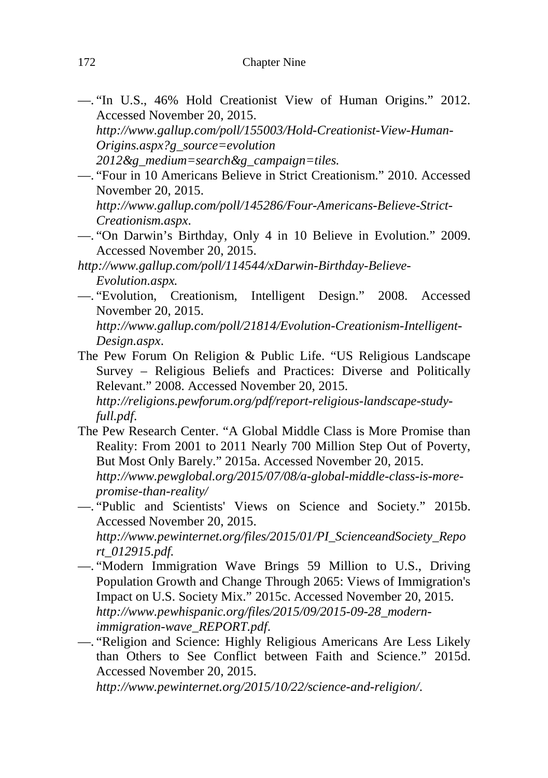- —. "In U.S., 46% Hold Creationist View of Human Origins." 2012. Accessed November 20, 2015.
	- *http://www.gallup.com/poll/155003/Hold-Creationist-View-Human-Origins.aspx?g\_source=evolution*
	- *2012&g\_medium=search&g\_campaign=tiles.*
- —. "Four in 10 Americans Believe in Strict Creationism." 2010. Accessed November 20, 2015. *http://www.gallup.com/poll/145286/Four-Americans-Believe-Strict-*
	- *Creationism.aspx*.
- —. "On Darwin's Birthday, Only 4 in 10 Believe in Evolution." 2009. Accessed November 20, 2015.
- *http://www.gallup.com/poll/114544/xDarwin-Birthday-Believe-Evolution.aspx.*
- —. "Evolution, Creationism, Intelligent Design." 2008. Accessed November 20, 2015.
	- *http://www.gallup.com/poll/21814/Evolution-Creationism-Intelligent-Design.aspx*.
- The Pew Forum On Religion & Public Life. "US Religious Landscape Survey – Religious Beliefs and Practices: Diverse and Politically Relevant." 2008. Accessed November 20, 2015. *http://religions.pewforum.org/pdf/report-religious-landscape-study-*

*full.pdf*.

- The Pew Research Center. "A Global Middle Class is More Promise than Reality: From 2001 to 2011 Nearly 700 Million Step Out of Poverty, But Most Only Barely." 2015a. Accessed November 20, 2015. *http://www.pewglobal.org/2015/07/08/a-global-middle-class-is-morepromise-than-reality/*
- —. "Public and Scientists' Views on Science and Society." 2015b. Accessed November 20, 2015.

*http://www.pewinternet.org/files/2015/01/PI\_ScienceandSociety\_Repo rt\_012915.pdf.*

—. "Modern Immigration Wave Brings 59 Million to U.S., Driving Population Growth and Change Through 2065: Views of Immigration's Impact on U.S. Society Mix." 2015c. Accessed November 20, 2015. *http://www.pewhispanic.org/files/2015/09/2015-09-28\_modernimmigration-wave\_REPORT.pdf*.

—. "Religion and Science: Highly Religious Americans Are Less Likely than Others to See Conflict between Faith and Science." 2015d. Accessed November 20, 2015.

*http://www.pewinternet.org/2015/10/22/science-and-religion/*.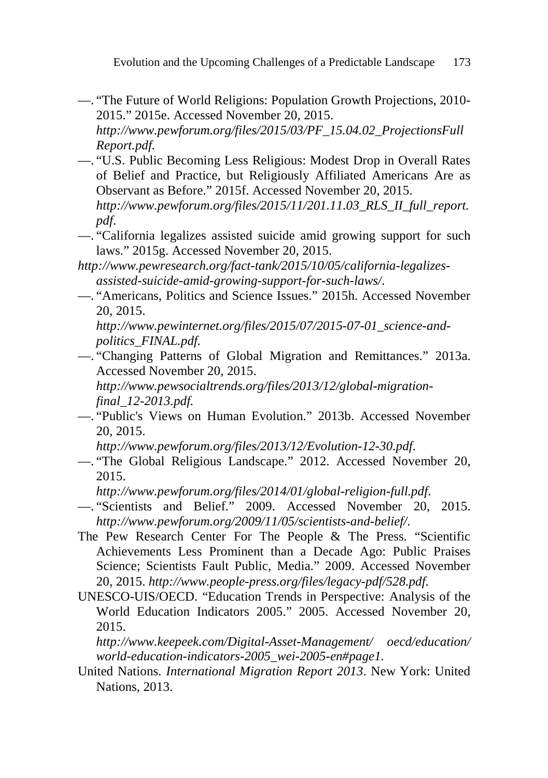- —. "The Future of World Religions: Population Growth Projections, 2010- 2015." 2015e. Accessed November 20, 2015. *http://www.pewforum.org/files/2015/03/PF\_15.04.02\_ProjectionsFull Report.pdf.*
- —. "U.S. Public Becoming Less Religious: Modest Drop in Overall Rates of Belief and Practice, but Religiously Affiliated Americans Are as Observant as Before." 2015f. Accessed November 20, 2015. *http://www.pewforum.org/files/2015/11/201.11.03\_RLS\_II\_full\_report. pdf*.
- —. "California legalizes assisted suicide amid growing support for such laws." 2015g. Accessed November 20, 2015.
- *http://www.pewresearch.org/fact-tank/2015/10/05/california-legalizesassisted-suicide-amid-growing-support-for-such-laws/*.
- —. "Americans, Politics and Science Issues." 2015h. Accessed November 20, 2015.

*http://www.pewinternet.org/files/2015/07/2015-07-01\_science-andpolitics\_FINAL.pdf.*

—. "Changing Patterns of Global Migration and Remittances." 2013a. Accessed November 20, 2015.

*http://www.pewsocialtrends.org/files/2013/12/global-migrationfinal\_12-2013.pdf.*

—. "Public's Views on Human Evolution." 2013b. Accessed November 20, 2015.

*http://www.pewforum.org/files/2013/12/Evolution-12-30.pdf*.

—. "The Global Religious Landscape." 2012. Accessed November 20, 2015.

*http://www.pewforum.org/files/2014/01/global-religion-full.pdf*.

- —. "Scientists and Belief." 2009. Accessed November 20, 2015. *http://www.pewforum.org/2009/11/05/scientists-and-belief/*.
- The Pew Research Center For The People & The Press. "Scientific Achievements Less Prominent than a Decade Ago: Public Praises Science; Scientists Fault Public, Media." 2009. Accessed November 20, 2015. *http://www.people-press.org/files/legacy-pdf/528.pdf*.
- UNESCO-UIS/OECD. "Education Trends in Perspective: Analysis of the World Education Indicators 2005." 2005. Accessed November 20, 2015.

*http://www.keepeek.com/Digital-Asset-Management/ oecd/education/ world-education-indicators-2005\_wei-2005-en#page1.*

United Nations. *International Migration Report 2013*. New York: United Nations, 2013.